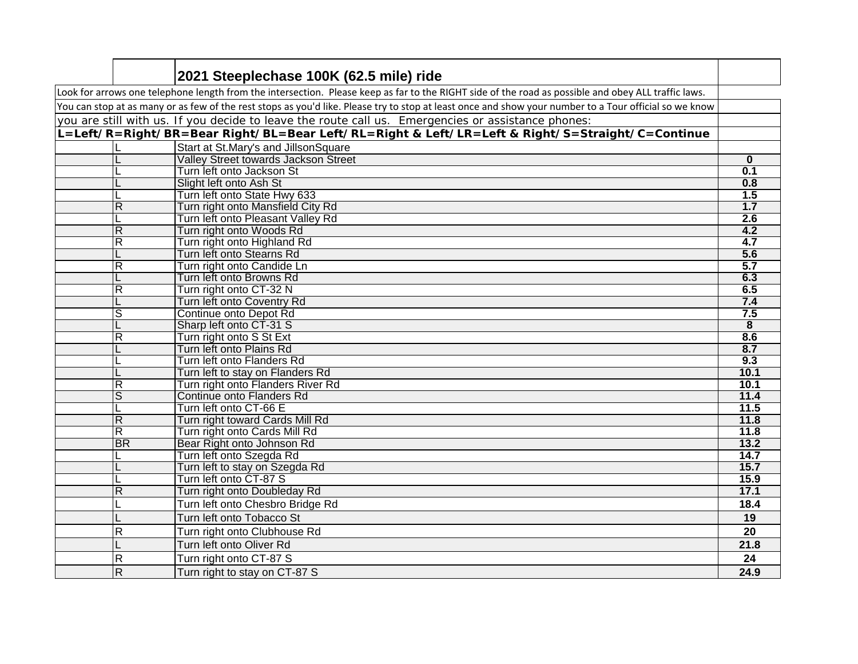|                                                                                                                                                        | 2021 Steeplechase 100K (62.5 mile) ride                  |                         |  |
|--------------------------------------------------------------------------------------------------------------------------------------------------------|----------------------------------------------------------|-------------------------|--|
| Look for arrows one telephone length from the intersection. Please keep as far to the RIGHT side of the road as possible and obey ALL traffic laws.    |                                                          |                         |  |
| You can stop at as many or as few of the rest stops as you'd like. Please try to stop at least once and show your number to a Tour official so we know |                                                          |                         |  |
| you are still with us. If you decide to leave the route call us. Emergencies or assistance phones:                                                     |                                                          |                         |  |
| L=Left/R=Right/BR=Bear Right/BL=Bear Left/RL=Right & Left/LR=Left & Right/S=Straight/C=Continue                                                        |                                                          |                         |  |
|                                                                                                                                                        | Start at St.Mary's and JillsonSquare                     |                         |  |
|                                                                                                                                                        | <b>Valley Street towards Jackson Street</b>              | $\bf{0}$                |  |
|                                                                                                                                                        | Turn left onto Jackson St                                | 0.1                     |  |
|                                                                                                                                                        | Slight left onto Ash St                                  | 0.8                     |  |
|                                                                                                                                                        | Turn left onto State Hwy 633                             | 1.5                     |  |
| $\overline{R}$                                                                                                                                         | Turn right onto Mansfield City Rd                        | 1.7                     |  |
|                                                                                                                                                        | Turn left onto Pleasant Valley Rd                        | 2.6                     |  |
| $\overline{R}$                                                                                                                                         | Turn right onto Woods Rd                                 | 4.2                     |  |
| R                                                                                                                                                      | Turn right onto Highland Rd                              | 4.7                     |  |
|                                                                                                                                                        | Turn left onto Stearns Rd                                | 5.6                     |  |
| $\overline{\mathsf{R}}$                                                                                                                                | Turn right onto Candide Ln                               | 5.7                     |  |
|                                                                                                                                                        | Turn left onto Browns Rd                                 | 6.3                     |  |
| $\overline{\mathsf{R}}$                                                                                                                                | Turn right onto CT-32 N                                  | 6.5                     |  |
| L                                                                                                                                                      | Turn left onto Coventry Rd                               | 7.4                     |  |
| s                                                                                                                                                      | Continue onto Depot Rd                                   | 7.5                     |  |
|                                                                                                                                                        | Sharp left onto CT-31 S                                  | $\overline{\mathbf{8}}$ |  |
| $\overline{\mathsf{R}}$                                                                                                                                | Turn right onto S St Ext                                 | 8.6                     |  |
|                                                                                                                                                        | Turn left onto Plains Rd                                 | 8.7                     |  |
|                                                                                                                                                        | Turn left onto Flanders Rd                               | 9.3                     |  |
|                                                                                                                                                        | Turn left to stay on Flanders Rd                         | 10.1                    |  |
| $\overline{R}$                                                                                                                                         | Turn right onto Flanders River Rd                        | 10.1                    |  |
| ड                                                                                                                                                      | Continue onto Flanders Rd                                | 11.4                    |  |
|                                                                                                                                                        | Turn left onto CT-66 E                                   | 11.5                    |  |
| $\overline{R}$                                                                                                                                         | Turn right toward Cards Mill Rd                          | 11.8                    |  |
| R<br><b>BR</b>                                                                                                                                         | Turn right onto Cards Mill Rd                            | 11.8                    |  |
|                                                                                                                                                        | Bear Right onto Johnson Rd                               | 13.2<br>14.7            |  |
| L                                                                                                                                                      | Turn left onto Szegda Rd                                 | 15.7                    |  |
|                                                                                                                                                        | Turn left to stay on Szegda Rd<br>Turn left onto CT-87 S | 15.9                    |  |
| $\overline{R}$                                                                                                                                         | Turn right onto Doubleday Rd                             | 17.1                    |  |
|                                                                                                                                                        |                                                          |                         |  |
|                                                                                                                                                        | Turn left onto Chesbro Bridge Rd                         | 18.4                    |  |
|                                                                                                                                                        | Turn left onto Tobacco St                                | 19                      |  |
| $\mathsf{R}$                                                                                                                                           | Turn right onto Clubhouse Rd                             | 20                      |  |
|                                                                                                                                                        | Turn left onto Oliver Rd                                 | 21.8                    |  |
| $\mathsf{R}$                                                                                                                                           | Turn right onto CT-87 S                                  | 24                      |  |
| $\overline{R}$                                                                                                                                         | Turn right to stay on CT-87 S                            | 24.9                    |  |